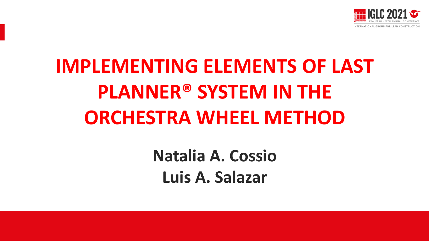

## **IMPLEMENTING ELEMENTS OF LAST PLANNER® SYSTEM IN THE ORCHESTRA WHEEL METHOD**

**Natalia A. Cossio Luis A. Salazar**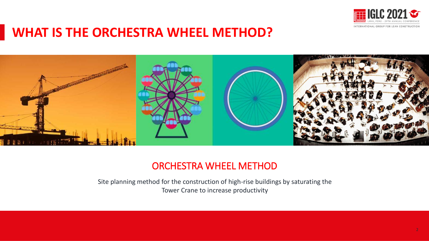

### **WHAT IS THE ORCHESTRA WHEEL METHOD?**



#### ORCHESTRA WHEEL METHOD

Site planning method for the construction of high-rise buildings by saturating the Tower Crane to increase productivity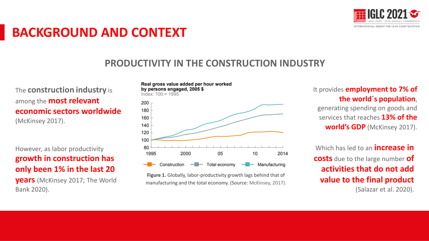

## **BACKGROUND AND CONTEXT**

#### **PRODUCTIVITY IN THE CONSTRUCTION INDUSTRY**

The **construction industry** is among the **most relevant economic sectors worldwide**  (McKinsey 2017).

However, as labor productivity **growth in construction has only been 1% in the last 20** 

**years** (McKinsey 2017; The World Bank 2020).

Real gross value added per hour worked by persons engaged, 2005 \$  $Index: 100 = 1995$ 

200 180 160 140 120 100 80 1995 2000 05 10 2014 Construction  $-\blacksquare$  Total economy  $-$  Manufacturing

**Figure 1.** Globally, labor-productivity growth lags behind that of manufacturing and the total economy. (Source: McKinsey, 2017). It provides **employment to 7% of the world´s population**,

generating spending on goods and services that reaches **13% of the world's GDP** (McKinsey 2017).

Which has led to an **increase in costs** due to the large number **of activities that do not add value to the final product** (Salazar et al. 2020).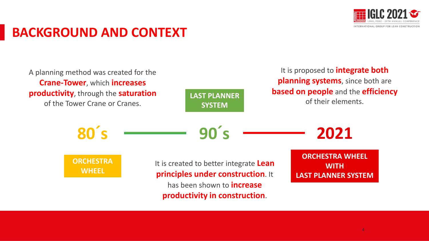

## **BACKGROUND AND CONTEXT**

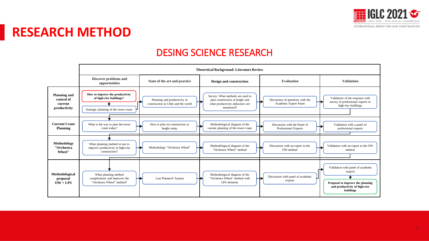

## **RESEARCH METHOD**

#### DESING SCIENCE RESEARCH

|                                                              | <b>Theoretical Background: Literature Review</b>                                                    |                                                                     |                                                                                                                       |                                                           |                                                                                                                                |
|--------------------------------------------------------------|-----------------------------------------------------------------------------------------------------|---------------------------------------------------------------------|-----------------------------------------------------------------------------------------------------------------------|-----------------------------------------------------------|--------------------------------------------------------------------------------------------------------------------------------|
|                                                              | Discover problems and<br>opportunities                                                              | State of the art and practice                                       | <b>Design and construction</b>                                                                                        | <b>Evaluation</b>                                         | <b>Validation</b>                                                                                                              |
| <b>Planning and</b><br>control of<br>current<br>productivity | How to improve the productivity<br>of high-rise buildings?<br>Strategic planning of the tower crane | Planning and productivity in<br>construction in Chile and the world | Survey: What methods are used to<br>plan construction at height and<br>what productivity indicators are<br>monitored? | Discussion of questions with the<br>Academic Expert Panel | Validation of the response with<br>survey of professional experts in<br>high-rise buildings                                    |
| <b>Current Crane</b><br><b>Planning</b>                      | What is the way to plan the tower<br>crane today?                                                   | How to plan on construction at<br>height today                      | Methodological diagram of the<br>current planning of the tower crane                                                  | Discussion with the Panel of<br>Professional Experts      | Validation with a panel of<br>professional experts                                                                             |
| Methodology<br>"Orchestra<br>Wheel"                          | What planning method to use to<br>improve productivity in high-rise<br>construction?                | Methodology "Orchestra Wheel"                                       | Methodological diagram of the<br>"Orchestra Wheel" method                                                             | Discussion with an expert in the<br>OW method             | Validation with an expert in the OW<br>method                                                                                  |
| Methodological<br>proposal<br>$OW + LPS$                     | What planning method<br>complements and improves the<br>"Orchestra Wheel" method?                   | Last Planner® System                                                | Methodological diagram of the<br>"Orchestra Wheel" method with<br>LPS elements                                        | Discussion with panel of academic<br>experts              | Validation with panel of academic<br>experts<br>Proposal to improve the planning<br>and productivity of high-rise<br>buildings |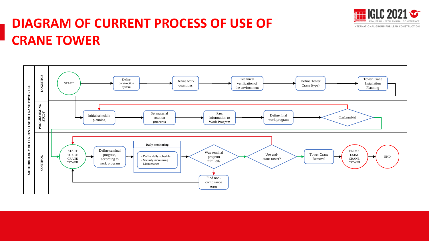

## **DIAGRAM OF CURRENT PROCESS OF USE OF CRANE TOWER**

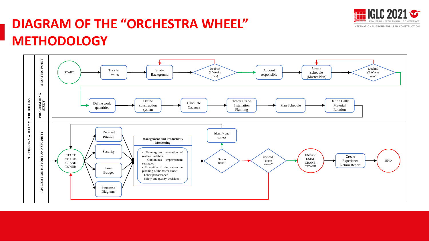

## **DIAGRAM OF THE "ORCHESTRA WHEEL" METHODOLOGY**

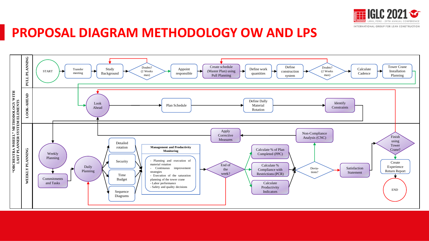

### **PROPOSAL DIAGRAM METHODOLOGY OW AND LPS**

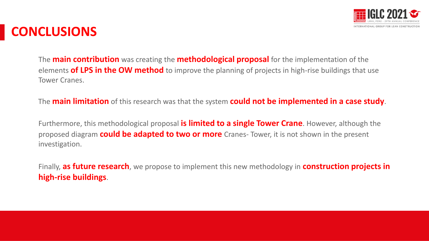

## **CONCLUSIONS**

The **main contribution** was creating the **methodological proposal** for the implementation of the elements **of LPS in the OW method** to improve the planning of projects in high-rise buildings that use Tower Cranes.

The **main limitation** of this research was that the system **could not be implemented in a case study**.

Furthermore, this methodological proposal **is limited to a single Tower Crane**. However, although the proposed diagram **could be adapted to two or more** Cranes- Tower, it is not shown in the present investigation.

Finally, **as future research**, we propose to implement this new methodology in **construction projects in high-rise buildings**.